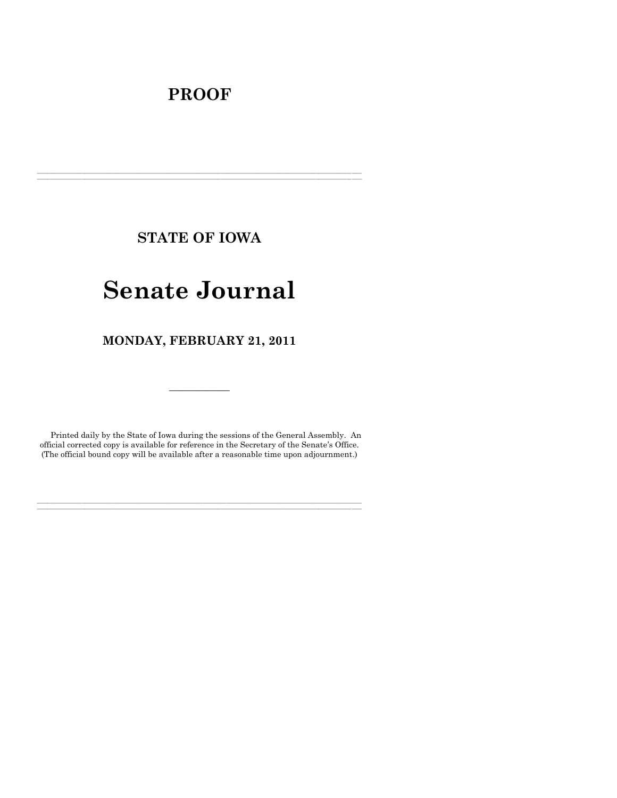# **PROOF**

**STATE OF IOWA**

**\_\_\_\_\_\_\_\_\_\_\_\_\_\_\_\_\_\_\_\_\_\_\_\_\_\_\_\_\_\_\_\_\_\_\_\_\_\_\_\_\_\_\_\_\_\_\_\_\_\_\_\_\_\_\_\_\_\_\_\_\_\_\_\_\_\_\_\_\_\_\_\_\_\_\_\_\_\_\_\_\_\_\_\_\_\_\_\_\_\_\_\_\_\_\_\_\_\_\_\_\_\_\_\_\_\_\_\_\_\_\_\_\_\_\_\_\_\_\_\_\_\_\_\_\_\_\_\_\_ \_\_\_\_\_\_\_\_\_\_\_\_\_\_\_\_\_\_\_\_\_\_\_\_\_\_\_\_\_\_\_\_\_\_\_\_\_\_\_\_\_\_\_\_\_\_\_\_\_\_\_\_\_\_\_\_\_\_\_\_\_\_\_\_\_\_\_\_\_\_\_\_\_\_\_\_\_\_\_\_\_\_\_\_\_\_\_\_\_\_\_\_\_\_\_\_\_\_\_\_\_\_\_\_\_\_\_\_\_\_\_\_\_\_\_\_\_\_\_\_\_\_\_\_\_\_\_\_\_**

# **Senate Journal**

**MONDAY, FEBRUARY 21, 2011**

Printed daily by the State of Iowa during the sessions of the General Assembly. An official corrected copy is available for reference in the Secretary of the Senate's Office. (The official bound copy will be available after a reasonable time upon adjournment.)

**\_\_\_\_\_\_\_\_\_\_\_\_\_\_\_\_\_\_\_\_\_\_\_\_\_\_\_\_\_\_\_\_\_\_\_\_\_\_\_\_\_\_\_\_\_\_\_\_\_\_\_\_\_\_\_\_\_\_\_\_\_\_\_\_\_\_\_\_\_\_\_\_\_\_\_\_\_\_\_\_\_\_\_\_\_\_\_\_\_\_\_\_\_\_\_\_\_\_\_\_\_\_\_\_\_\_\_\_\_\_\_\_\_\_\_\_\_\_\_\_\_\_\_\_\_\_\_\_\_ \_\_\_\_\_\_\_\_\_\_\_\_\_\_\_\_\_\_\_\_\_\_\_\_\_\_\_\_\_\_\_\_\_\_\_\_\_\_\_\_\_\_\_\_\_\_\_\_\_\_\_\_\_\_\_\_\_\_\_\_\_\_\_\_\_\_\_\_\_\_\_\_\_\_\_\_\_\_\_\_\_\_\_\_\_\_\_\_\_\_\_\_\_\_\_\_\_\_\_\_\_\_\_\_\_\_\_\_\_\_\_\_\_\_\_\_\_\_\_\_\_\_\_\_\_\_\_\_\_**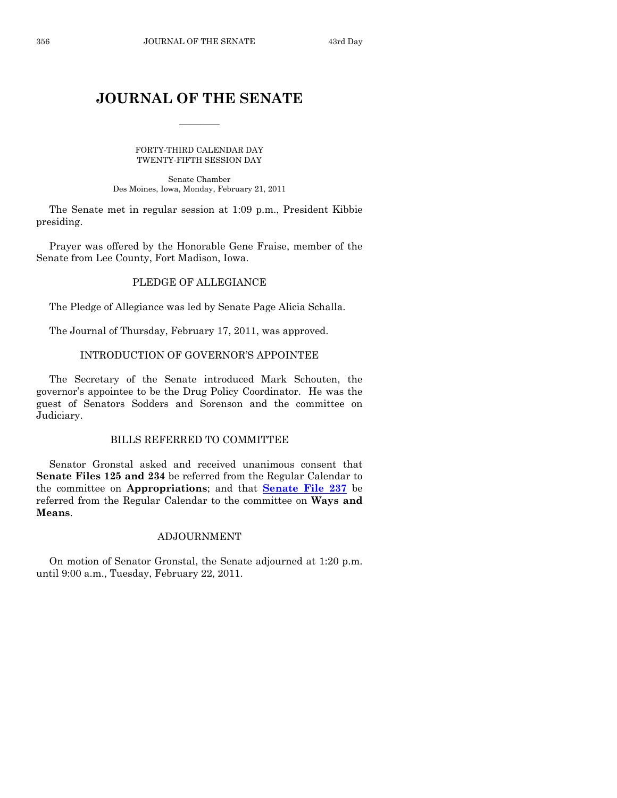# **JOURNAL OF THE SENATE**

 $\frac{1}{2}$ 

FORTY-THIRD CALENDAR DAY TWENTY-FIFTH SESSION DAY

Senate Chamber Des Moines, Iowa, Monday, February 21, 2011

The Senate met in regular session at 1:09 p.m., President Kibbie presiding.

Prayer was offered by the Honorable Gene Fraise, member of the Senate from Lee County, Fort Madison, Iowa.

# PLEDGE OF ALLEGIANCE

The Pledge of Allegiance was led by Senate Page Alicia Schalla.

The Journal of Thursday, February 17, 2011, was approved.

# INTRODUCTION OF GOVERNOR'S APPOINTEE

The Secretary of the Senate introduced Mark Schouten, the governor's appointee to be the Drug Policy Coordinator. He was the guest of Senators Sodders and Sorenson and the committee on Judiciary.

# BILLS REFERRED TO COMMITTEE

Senator Gronstal asked and received unanimous consent that **Senate Files 125 and 234** be referred from the Regular Calendar to the committee on **Appropriations**; and that **[Senate File 237](http://coolice.legis.state.ia.us/Cool-ICE/default.asp?Category=billinfo&Service=Billbook&frame=1&GA=84&hbill=SF237)** be referred from the Regular Calendar to the committee on **Ways and Means**.

# ADJOURNMENT

On motion of Senator Gronstal, the Senate adjourned at 1:20 p.m. until 9:00 a.m., Tuesday, February 22, 2011.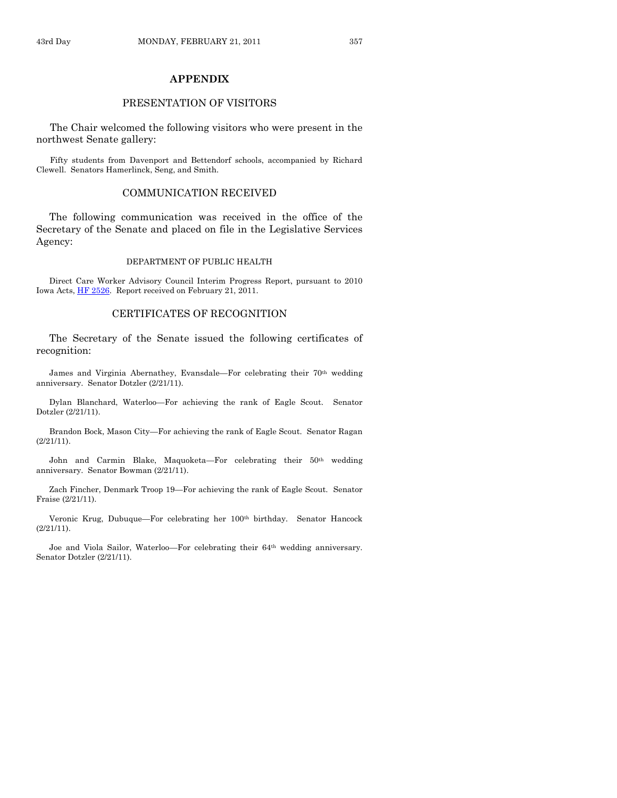# **APPENDIX**

#### PRESENTATION OF VISITORS

The Chair welcomed the following visitors who were present in the northwest Senate gallery:

Fifty students from Davenport and Bettendorf schools, accompanied by Richard Clewell. Senators Hamerlinck, Seng, and Smith.

#### COMMUNICATION RECEIVED

The following communication was received in the office of the Secretary of the Senate and placed on file in the Legislative Services Agency:

#### DEPARTMENT OF PUBLIC HEALTH

Direct Care Worker Advisory Council Interim Progress Report, pursuant to 2010 Iowa Acts[, HF 2526.](http://coolice.legis.state.ia.us/Cool-ICE/default.asp?Category=billinfo&Service=Billbook&frame=1&GA=84&hbill=HF2526) Report received on February 21, 2011.

#### CERTIFICATES OF RECOGNITION

The Secretary of the Senate issued the following certificates of recognition:

James and Virginia Abernathey, Evansdale—For celebrating their 70<sup>th</sup> wedding anniversary. Senator Dotzler (2/21/11).

Dylan Blanchard, Waterloo—For achieving the rank of Eagle Scout. Senator Dotzler (2/21/11).

Brandon Bock, Mason City—For achieving the rank of Eagle Scout. Senator Ragan (2/21/11).

John and Carmin Blake, Maquoketa—For celebrating their 50th wedding anniversary. Senator Bowman (2/21/11).

Zach Fincher, Denmark Troop 19—For achieving the rank of Eagle Scout. Senator Fraise (2/21/11).

Veronic Krug, Dubuque—For celebrating her 100th birthday. Senator Hancock (2/21/11).

Joe and Viola Sailor, Waterloo—For celebrating their 64th wedding anniversary. Senator Dotzler (2/21/11).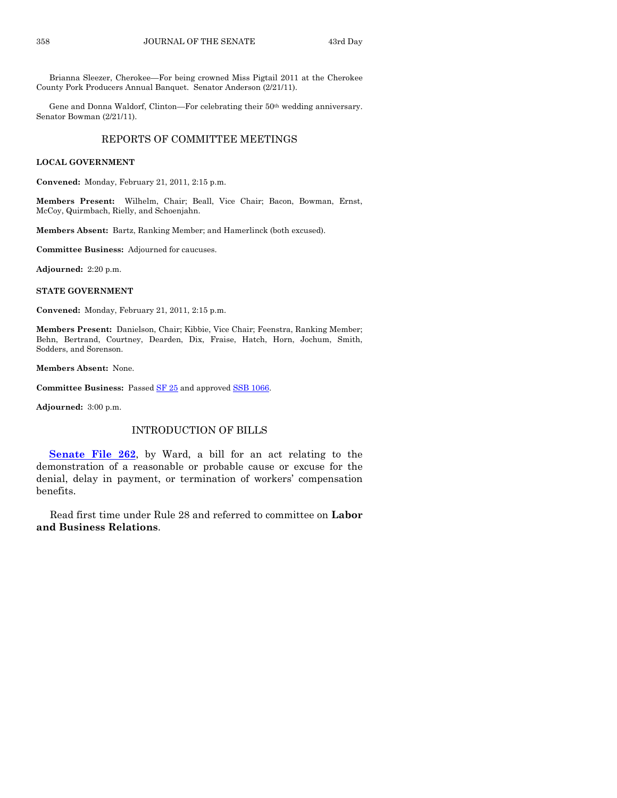Brianna Sleezer, Cherokee—For being crowned Miss Pigtail 2011 at the Cherokee County Pork Producers Annual Banquet. Senator Anderson (2/21/11).

Gene and Donna Waldorf, Clinton—For celebrating their 50<sup>th</sup> wedding anniversary. Senator Bowman (2/21/11).

# REPORTS OF COMMITTEE MEETINGS

#### **LOCAL GOVERNMENT**

**Convened:** Monday, February 21, 2011, 2:15 p.m.

**Members Present:** Wilhelm, Chair; Beall, Vice Chair; Bacon, Bowman, Ernst, McCoy, Quirmbach, Rielly, and Schoenjahn.

**Members Absent:** Bartz, Ranking Member; and Hamerlinck (both excused).

**Committee Business:** Adjourned for caucuses.

**Adjourned:** 2:20 p.m.

**STATE GOVERNMENT**

**Convened:** Monday, February 21, 2011, 2:15 p.m.

**Members Present:** Danielson, Chair; Kibbie, Vice Chair; Feenstra, Ranking Member; Behn, Bertrand, Courtney, Dearden, Dix, Fraise, Hatch, Horn, Jochum, Smith, Sodders, and Sorenson.

**Members Absent:** None.

**Committee Business:** Passed [SF 25](http://coolice.legis.state.ia.us/Cool-ICE/default.asp?Category=billinfo&Service=Billbook&frame=1&GA=84&hbill=SF25) and approve[d SSB 1066.](http://coolice.legis.state.ia.us/Cool-ICE/default.asp?Category=billinfo&Service=Billbook&frame=1&GA=84&hbill=SSB1066)

**Adjourned:** 3:00 p.m.

# INTRODUCTION OF BILLS

**[Senate File 262](http://coolice.legis.state.ia.us/Cool-ICE/default.asp?Category=billinfo&Service=Billbook&frame=1&GA=84&hbill=SF262)**, by Ward, a bill for an act relating to the demonstration of a reasonable or probable cause or excuse for the denial, delay in payment, or termination of workers' compensation benefits.

Read first time under Rule 28 and referred to committee on **Labor and Business Relations**.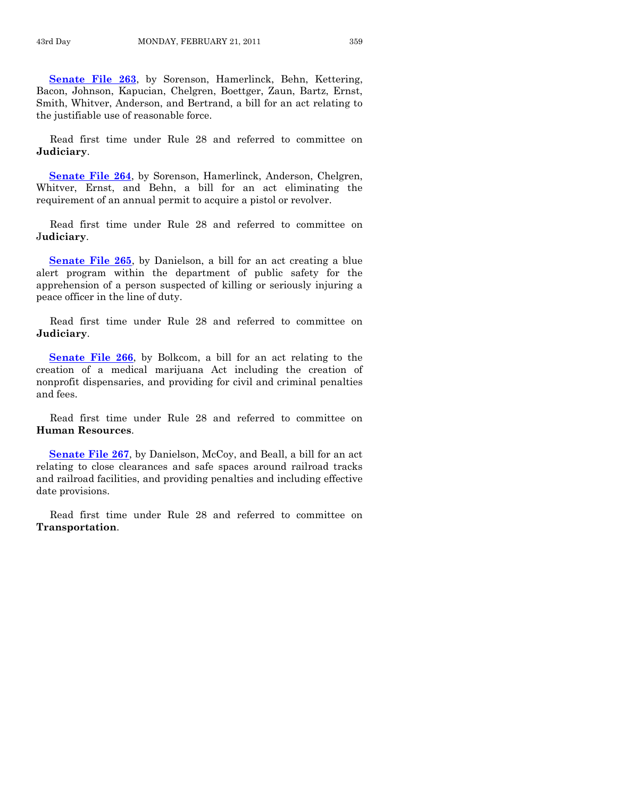**[Senate File 263](http://coolice.legis.state.ia.us/Cool-ICE/default.asp?Category=billinfo&Service=Billbook&frame=1&GA=84&hbill=SF263)**, by Sorenson, Hamerlinck, Behn, Kettering, Bacon, Johnson, Kapucian, Chelgren, Boettger, Zaun, Bartz, Ernst, Smith, Whitver, Anderson, and Bertrand, a bill for an act relating to the justifiable use of reasonable force.

Read first time under Rule 28 and referred to committee on **Judiciary**.

**[Senate File 264](http://coolice.legis.state.ia.us/Cool-ICE/default.asp?Category=billinfo&Service=Billbook&frame=1&GA=84&hbill=SF264)**, by Sorenson, Hamerlinck, Anderson, Chelgren, Whitver, Ernst, and Behn, a bill for an act eliminating the requirement of an annual permit to acquire a pistol or revolver.

Read first time under Rule 28 and referred to committee on J**udiciary**.

**[Senate File 265](http://coolice.legis.state.ia.us/Cool-ICE/default.asp?Category=billinfo&Service=Billbook&frame=1&GA=84&hbill=SF265)**, by Danielson, a bill for an act creating a blue alert program within the department of public safety for the apprehension of a person suspected of killing or seriously injuring a peace officer in the line of duty.

Read first time under Rule 28 and referred to committee on **Judiciary**.

**[Senate File 266](http://coolice.legis.state.ia.us/Cool-ICE/default.asp?Category=billinfo&Service=Billbook&frame=1&GA=84&hbill=SF266)**, by Bolkcom, a bill for an act relating to the creation of a medical marijuana Act including the creation of nonprofit dispensaries, and providing for civil and criminal penalties and fees.

Read first time under Rule 28 and referred to committee on **Human Resources**.

[Senate File 267](http://coolice.legis.state.ia.us/Cool-ICE/default.asp?Category=billinfo&Service=Billbook&frame=1&GA=84&hbill=SF267), by Danielson, McCoy, and Beall, a bill for an act relating to close clearances and safe spaces around railroad tracks and railroad facilities, and providing penalties and including effective date provisions.

Read first time under Rule 28 and referred to committee on **Transportation**.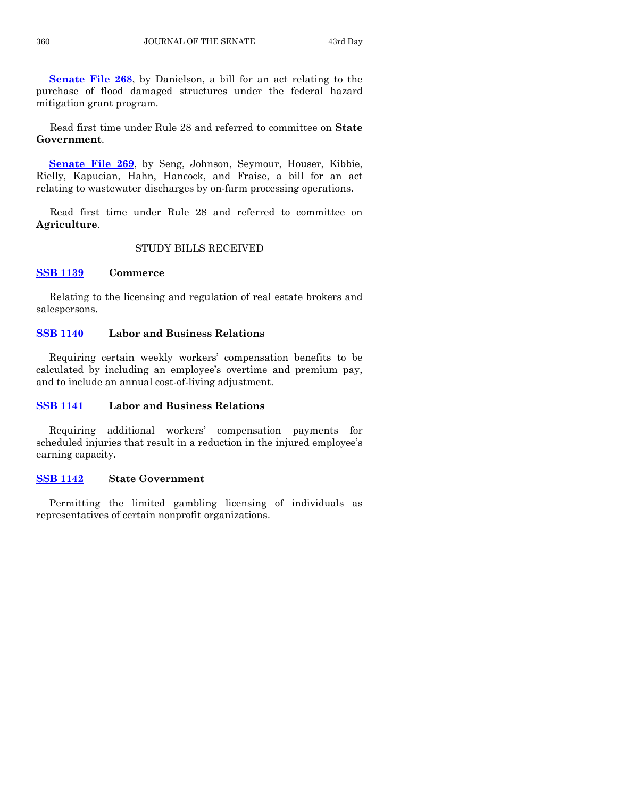**[Senate File 268](http://coolice.legis.state.ia.us/Cool-ICE/default.asp?Category=billinfo&Service=Billbook&frame=1&GA=84&hbill=SF268)**, by Danielson, a bill for an act relating to the purchase of flood damaged structures under the federal hazard mitigation grant program.

Read first time under Rule 28 and referred to committee on **State Government**.

**[Senate File 269](http://coolice.legis.state.ia.us/Cool-ICE/default.asp?Category=billinfo&Service=Billbook&frame=1&GA=84&hbill=SF269)**, by Seng, Johnson, Seymour, Houser, Kibbie, Rielly, Kapucian, Hahn, Hancock, and Fraise, a bill for an act relating to wastewater discharges by on-farm processing operations.

Read first time under Rule 28 and referred to committee on **Agriculture**.

# STUDY BILLS RECEIVED

#### **[SSB 1139](http://coolice.legis.state.ia.us/Cool-ICE/default.asp?Category=billinfo&Service=Billbook&frame=1&GA=84&hbill=SSB1139) Commerce**

Relating to the licensing and regulation of real estate brokers and salespersons.

# **[SSB 1140](http://coolice.legis.state.ia.us/Cool-ICE/default.asp?Category=billinfo&Service=Billbook&frame=1&GA=84&hbill=SSB1140) Labor and Business Relations**

Requiring certain weekly workers' compensation benefits to be calculated by including an employee's overtime and premium pay, and to include an annual cost-of-living adjustment.

#### **[SSB 1141](http://coolice.legis.state.ia.us/Cool-ICE/default.asp?Category=billinfo&Service=Billbook&frame=1&GA=84&hbill=SSB1141) Labor and Business Relations**

Requiring additional workers' compensation payments for scheduled injuries that result in a reduction in the injured employee's earning capacity.

# **[SSB 1142](http://coolice.legis.state.ia.us/Cool-ICE/default.asp?Category=billinfo&Service=Billbook&frame=1&GA=84&hbill=SSB1142) State Government**

Permitting the limited gambling licensing of individuals as representatives of certain nonprofit organizations.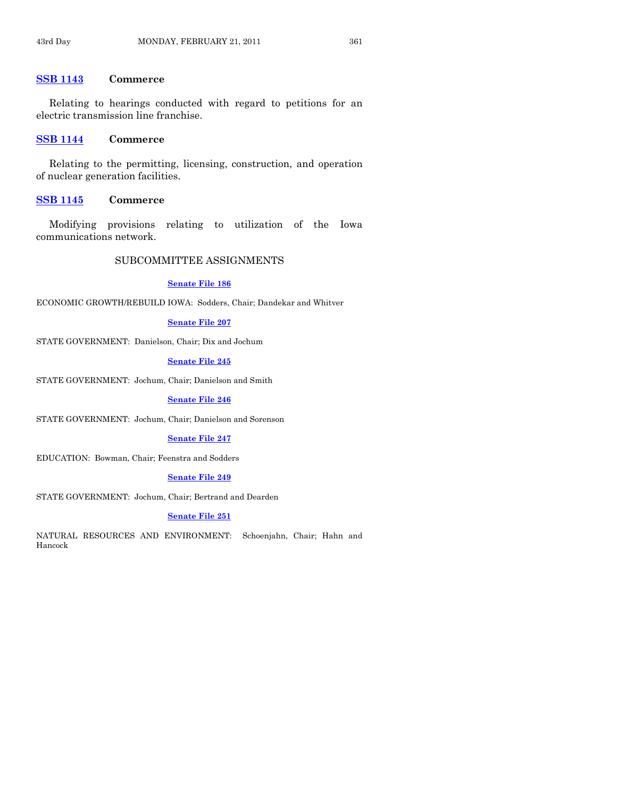# **[SSB 1143](http://coolice.legis.state.ia.us/Cool-ICE/default.asp?Category=billinfo&Service=Billbook&frame=1&GA=84&hbill=SSB1143) Commerce**

Relating to hearings conducted with regard to petitions for an electric transmission line franchise.

# **[SSB 1144](http://coolice.legis.state.ia.us/Cool-ICE/default.asp?Category=billinfo&Service=Billbook&frame=1&GA=84&hbill=SSB1144) Commerce**

Relating to the permitting, licensing, construction, and operation of nuclear generation facilities.

#### **[SSB 1145](http://coolice.legis.state.ia.us/Cool-ICE/default.asp?Category=billinfo&Service=Billbook&frame=1&GA=84&hbill=SSB1145) Commerce**

Modifying provisions relating to utilization of the Iowa communications network.

# SUBCOMMITTEE ASSIGNMENTS

#### **[Senate File 186](http://coolice.legis.state.ia.us/Cool-ICE/default.asp?Category=billinfo&Service=Billbook&frame=1&GA=84&hbill=SF186)**

ECONOMIC GROWTH/REBUILD IOWA: Sodders, Chair; Dandekar and Whitver

# **[Senate File 207](http://coolice.legis.state.ia.us/Cool-ICE/default.asp?Category=billinfo&Service=Billbook&frame=1&GA=84&hbill=SF207)**

STATE GOVERNMENT: Danielson, Chair; Dix and Jochum

#### **[Senate File 245](http://coolice.legis.state.ia.us/Cool-ICE/default.asp?Category=billinfo&Service=Billbook&frame=1&GA=84&hbill=SF245)**

STATE GOVERNMENT: Jochum, Chair; Danielson and Smith

#### **[Senate File 246](http://coolice.legis.state.ia.us/Cool-ICE/default.asp?Category=billinfo&Service=Billbook&frame=1&GA=84&hbill=SF246)**

STATE GOVERNMENT: Jochum, Chair; Danielson and Sorenson

#### **[Senate File 247](http://coolice.legis.state.ia.us/Cool-ICE/default.asp?Category=billinfo&Service=Billbook&frame=1&GA=84&hbill=SF247)**

EDUCATION: Bowman, Chair; Feenstra and Sodders

#### **[Senate File 249](http://coolice.legis.state.ia.us/Cool-ICE/default.asp?Category=billinfo&Service=Billbook&frame=1&GA=84&hbill=SF249)**

STATE GOVERNMENT: Jochum, Chair; Bertrand and Dearden

#### **[Senate File 251](http://coolice.legis.state.ia.us/Cool-ICE/default.asp?Category=billinfo&Service=Billbook&frame=1&GA=84&hbill=SF251)**

NATURAL RESOURCES AND ENVIRONMENT: Schoenjahn, Chair; Hahn and Hancock